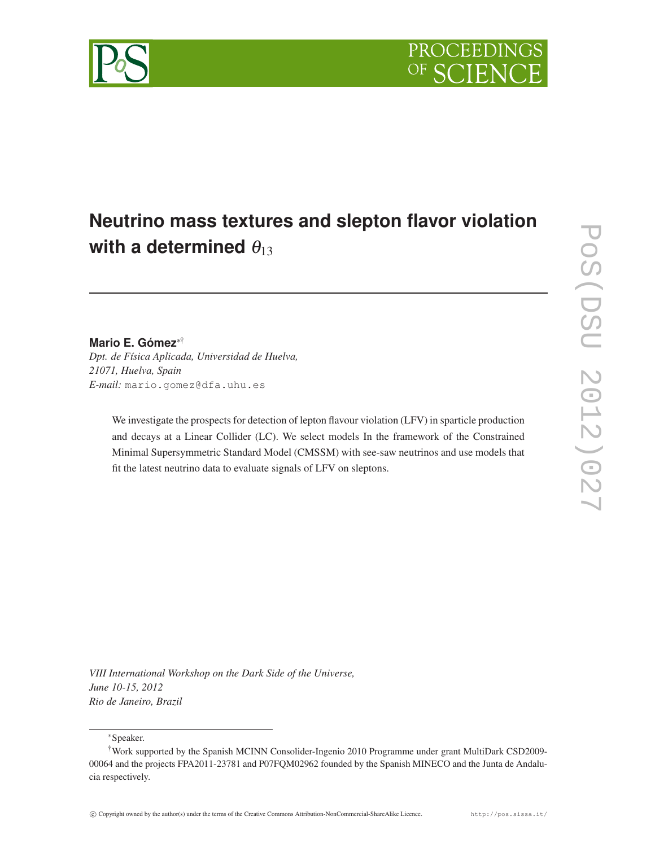# **Neutrino mass textures and slepton flavor violation** with a determined  $\theta_{13}$

## **Mario E. Gómez**∗†

*Dpt. de Física Aplicada, Universidad de Huelva, 21071, Huelva, Spain E-mail:* mario.gomez@dfa.uhu.es

> We investigate the prospects for detection of lepton flavour violation (LFV) in sparticle production and decays at a Linear Collider (LC). We select models In the framework of the Constrained Minimal Supersymmetric Standard Model (CMSSM) with see-saw neutrinos and use models that fit the latest neutrino data to evaluate signals of LFV on sleptons.

*VIII International Workshop on the Dark Side of the Universe, June 10-15, 2012 Rio de Janeiro, Brazil*

∗Speaker.

<sup>†</sup>Work supported by the Spanish MCINN Consolider-Ingenio 2010 Programme under grant MultiDark CSD2009- 00064 and the projects FPA2011-23781 and P07FQM02962 founded by the Spanish MINECO and the Junta de Andalucia respectively.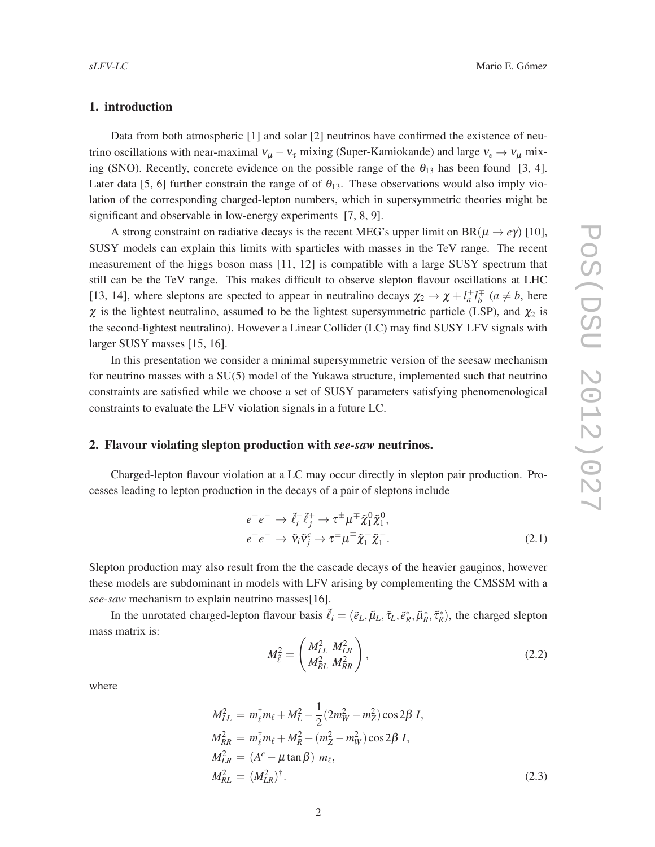### 1. introduction

Data from both atmospheric [1] and solar [2] neutrinos have confirmed the existence of neutrino oscillations with near-maximal  $v_{\mu} - v_{\tau}$  mixing (Super-Kamiokande) and large  $v_e \rightarrow v_{\mu}$  mixing (SNO). Recently, concrete evidence on the possible range of the  $\theta_{13}$  has been found [3, 4]. Later data [5, 6] further constrain the range of of  $\theta_{13}$ . These observations would also imply violation of the corresponding charged-lepton numbers, which in supersymmetric theories might be significant and observable in low-energy experiments [7, 8, 9].

A strong constraint on radiative decays is the recent MEG's upper limit on BR( $\mu \rightarrow e\gamma$ ) [10], SUSY models can explain this limits with sparticles with masses in the TeV range. The recent measurement of the higgs boson mass [11, 12] is compatible with a large SUSY spectrum that still can be the TeV range. This makes difficult to observe slepton flavour oscillations at LHC [13, 14], where sleptons are spected to appear in neutralino decays  $\chi_2 \to \chi + l_a^{\pm} l_b^{\mp}$  ( $a \neq b$ , here  $\chi$  is the lightest neutralino, assumed to be the lightest supersymmetric particle (LSP), and  $\chi_2$  is the second-lightest neutralino). However a Linear Collider (LC) may find SUSY LFV signals with larger SUSY masses [15, 16].

In this presentation we consider a minimal supersymmetric version of the seesaw mechanism for neutrino masses with a SU(5) model of the Yukawa structure, implemented such that neutrino constraints are satisfied while we choose a set of SUSY parameters satisfying phenomenological constraints to evaluate the LFV violation signals in a future LC.

#### 2. Flavour violating slepton production with *see-saw* neutrinos.

Charged-lepton flavour violation at a LC may occur directly in slepton pair production. Processes leading to lepton production in the decays of a pair of sleptons include

$$
e^+e^- \to \tilde{\ell}_i^- \tilde{\ell}_j^+ \to \tau^{\pm} \mu^{\mp} \tilde{\chi}_1^0 \tilde{\chi}_1^0, e^+e^- \to \tilde{\nu}_i \tilde{\nu}_j^c \to \tau^{\pm} \mu^{\mp} \tilde{\chi}_1^+ \tilde{\chi}_1^-.
$$
 (2.1)

Slepton production may also result from the the cascade decays of the heavier gauginos, however these models are subdominant in models with LFV arising by complementing the CMSSM with a *see-saw* mechanism to explain neutrino masses[16].

In the unrotated charged-lepton flavour basis  $\tilde{\ell}_i = (\tilde{e}_L, \tilde{\mu}_L, \tilde{\tau}_L, \tilde{e}_R^*, \tilde{\mu}_R^*, \tilde{\tau}_R^*)$ , the charged slepton mass matrix is:

$$
M_{\tilde{\ell}}^2 = \begin{pmatrix} M_{LL}^2 & M_{LR}^2 \\ M_{RL}^2 & M_{RR}^2 \end{pmatrix},
$$
 (2.2)

where

$$
M_{LL}^2 = m_{\ell}^{\dagger} m_{\ell} + M_L^2 - \frac{1}{2} (2m_W^2 - m_Z^2) \cos 2\beta I,
$$
  
\n
$$
M_{RR}^2 = m_{\ell}^{\dagger} m_{\ell} + M_R^2 - (m_Z^2 - m_W^2) \cos 2\beta I,
$$
  
\n
$$
M_{LR}^2 = (A^e - \mu \tan \beta) m_{\ell},
$$
  
\n
$$
M_{RL}^2 = (M_{LR}^2)^{\dagger}.
$$
\n(2.3)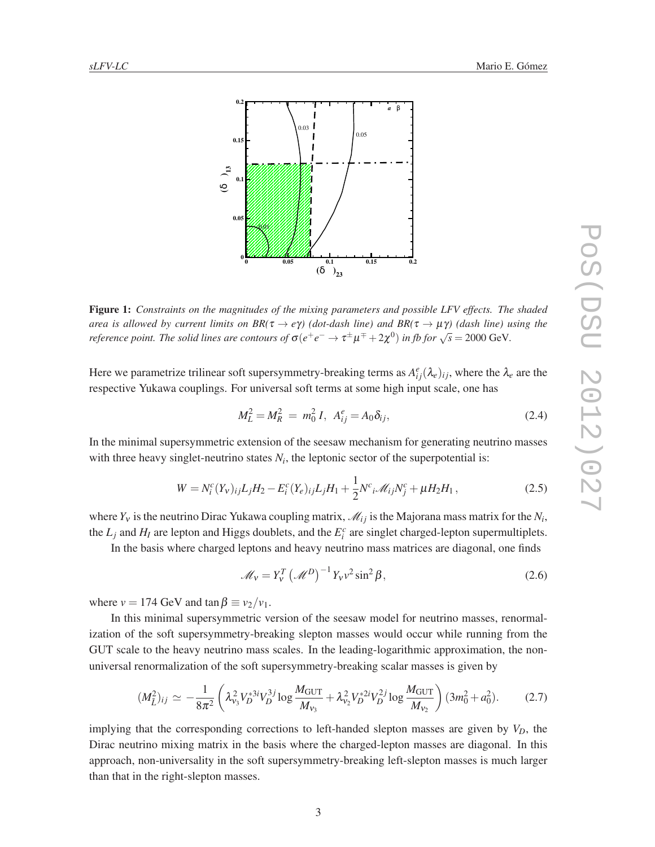

Figure 1: *Constraints on the magnitudes of the mixing parameters and possible LFV effects. The shaded area is allowed by current limits on*  $BR(\tau \to e\gamma)$  *(dot-dash line) and*  $BR(\tau \to \mu\gamma)$  *(dash line) using the reference point. The solid lines are contours of*  $\sigma(e^+e^- \to \tau^{\pm}\mu^{\mp} + 2\chi^0)$  *in fb for*  $\sqrt{s} = 2000$  GeV.

Here we parametrize trilinear soft supersymmetry-breaking terms as  $A_{ij}^e(\lambda_e)_{ij}$ , where the  $\lambda_e$  are the respective Yukawa couplings. For universal soft terms at some high input scale, one has

$$
M_L^2 = M_R^2 = m_0^2 I, A_{ij}^e = A_0 \delta_{ij},
$$
 (2.4)

In the minimal supersymmetric extension of the seesaw mechanism for generating neutrino masses with three heavy singlet-neutrino states  $N_i$ , the leptonic sector of the superpotential is:

$$
W = N_i^c(Y_v)_{ij} L_j H_2 - E_i^c(Y_e)_{ij} L_j H_1 + \frac{1}{2} N^c_{ij} \mathcal{M}_{ij} N_j^c + \mu H_2 H_1, \qquad (2.5)
$$

where  $Y_v$  is the neutrino Dirac Yukawa coupling matrix,  $\mathcal{M}_{ij}$  is the Majorana mass matrix for the  $N_i$ , the  $L_j$  and  $H_l$  are lepton and Higgs doublets, and the  $E_i^c$  are singlet charged-lepton supermultiplets.

In the basis where charged leptons and heavy neutrino mass matrices are diagonal, one finds

$$
\mathcal{M}_v = Y_v^T \left( \mathcal{M}^D \right)^{-1} Y_v v^2 \sin^2 \beta, \tag{2.6}
$$

where  $v = 174$  GeV and  $\tan \beta \equiv v_2/v_1$ .

In this minimal supersymmetric version of the seesaw model for neutrino masses, renormalization of the soft supersymmetry-breaking slepton masses would occur while running from the GUT scale to the heavy neutrino mass scales. In the leading-logarithmic approximation, the nonuniversal renormalization of the soft supersymmetry-breaking scalar masses is given by

$$
(M_{\tilde{L}}^2)_{ij} \simeq -\frac{1}{8\pi^2} \left( \lambda_{\nu_3}^2 V_D^{*3i} V_D^{3j} \log \frac{M_{\text{GUT}}}{M_{\nu_3}} + \lambda_{\nu_2}^2 V_D^{*2i} V_D^{2j} \log \frac{M_{\text{GUT}}}{M_{\nu_2}} \right) (3m_0^2 + a_0^2). \tag{2.7}
$$

implying that the corresponding corrections to left-handed slepton masses are given by  $V_D$ , the Dirac neutrino mixing matrix in the basis where the charged-lepton masses are diagonal. In this approach, non-universality in the soft supersymmetry-breaking left-slepton masses is much larger than that in the right-slepton masses.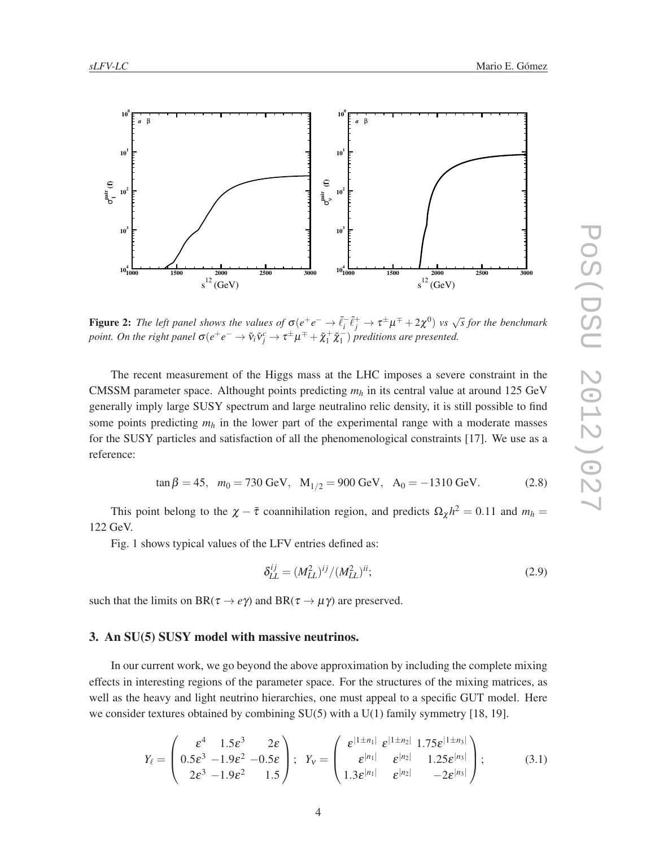

Figure 2: The left panel shows the values of  $\sigma(e^+e^-\to \tilde{\ell}_i^-\tilde{\ell}_j^+\to \tau^{\pm}\mu^{\mp}+2\chi^0)$  vs  $\sqrt{s}$  for the benchmark *point. On the right panel*  $\sigma(e^+e^-\to \tilde{v}_i\tilde{v}_j^c\to \tau^{\pm}\mu^{\mp}+\tilde{\chi}_1^+\tilde{\chi}_1^-$  *preditions are presented.* 

The recent measurement of the Higgs mass at the LHC imposes a severe constraint in the CMSSM parameter space. Althought points predicting *m<sup>h</sup>* in its central value at around 125 GeV generally imply large SUSY spectrum and large neutralino relic density, it is still possible to find some points predicting  $m_h$  in the lower part of the experimental range with a moderate masses for the SUSY particles and satisfaction of all the phenomenological constraints [17]. We use as a reference:

$$
\tan \beta = 45, \quad m_0 = 730 \text{ GeV}, \quad M_{1/2} = 900 \text{ GeV}, \quad A_0 = -1310 \text{ GeV}. \tag{2.8}
$$

This point belong to the  $\chi - \tilde{\tau}$  coannihilation region, and predicts  $\Omega_{\chi} h^2 = 0.11$  and  $m_h =$ 122 GeV.

Fig. 1 shows typical values of the LFV entries defined as:

$$
\delta_{LL}^{ij} = (M_{LL}^2)^{ij} / (M_{LL}^2)^{ii};
$$
\n(2.9)

such that the limits on  $BR(\tau \to e\gamma)$  and  $BR(\tau \to \mu\gamma)$  are preserved.

### 3. An SU(5) SUSY model with massive neutrinos.

In our current work, we go beyond the above approximation by including the complete mixing effects in interesting regions of the parameter space. For the structures of the mixing matrices, as well as the heavy and light neutrino hierarchies, one must appeal to a specific GUT model. Here we consider textures obtained by combining  $SU(5)$  with a  $U(1)$  family symmetry [18, 19].

$$
Y_{\ell} = \begin{pmatrix} \varepsilon^4 & 1.5\varepsilon^3 & 2\varepsilon \\ 0.5\varepsilon^3 & -1.9\varepsilon^2 & -0.5\varepsilon \\ 2\varepsilon^3 & -1.9\varepsilon^2 & 1.5 \end{pmatrix}; \quad Y_{\nu} = \begin{pmatrix} \varepsilon^{\vert 1 \pm n_1 \vert} & \varepsilon^{\vert 1 \pm n_2 \vert} & 1.75\varepsilon^{\vert 1 \pm n_3 \vert} \\ \varepsilon^{\vert n_1 \vert} & \varepsilon^{\vert n_2 \vert} & 1.25\varepsilon^{\vert n_3 \vert} \\ 1.3\varepsilon^{\vert n_1 \vert} & \varepsilon^{\vert n_2 \vert} & -2\varepsilon^{\vert n_3 \vert} \end{pmatrix}; \tag{3.1}
$$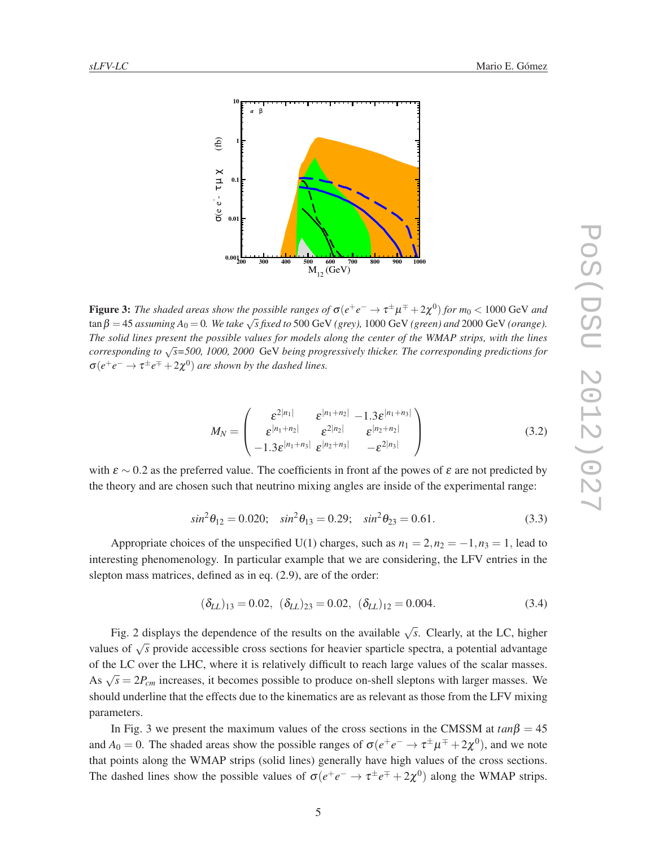

Figure 3: *The shaded areas show the possible ranges of*  $\sigma(e^+e^-\to\tau^{\pm}\mu^{\mp}+2\chi^0)$  *for*  $m_0< 1000$  GeV and  $\tan \beta = 45$  *assuming*  $A_0 = 0$ . We take  $\sqrt{s}$  fixed to 500 GeV (grey), 1000 GeV (green) and 2000 GeV (orange). *The solid lines present the possible values for models along the center of the WMAP strips, with the lines corresponding to* √ *s=500, 1000, 2000* GeV *being progressively thicker. The corresponding predictions for*  $\sigma(e^+e^- \to \tau^{\pm}e^{\mp}+2\chi^0)$  *are shown by the dashed lines.* 

$$
M_N = \begin{pmatrix} \varepsilon^{2|n_1|} & \varepsilon^{|n_1+n_2|} & -1.3\varepsilon^{|n_1+n_3|} \\ \varepsilon^{|n_1+n_2|} & \varepsilon^{2|n_2|} & \varepsilon^{|n_2+n_2|} \\ -1.3\varepsilon^{|n_1+n_3|} & \varepsilon^{|n_2+n_3|} & -\varepsilon^{2|n_3|} \end{pmatrix}
$$
(3.2)

with  $\varepsilon \sim 0.2$  as the preferred value. The coefficients in front af the powes of  $\varepsilon$  are not predicted by the theory and are chosen such that neutrino mixing angles are inside of the experimental range:

$$
\sin^2 \theta_{12} = 0.020; \quad \sin^2 \theta_{13} = 0.29; \quad \sin^2 \theta_{23} = 0.61. \tag{3.3}
$$

Appropriate choices of the unspecified U(1) charges, such as  $n_1 = 2, n_2 = -1, n_3 = 1$ , lead to interesting phenomenology. In particular example that we are considering, the LFV entries in the slepton mass matrices, defined as in eq. (2.9), are of the order:

$$
(\delta_{LL})_{13} = 0.02, \quad (\delta_{LL})_{23} = 0.02, \quad (\delta_{LL})_{12} = 0.004. \tag{3.4}
$$

Fig. 2 displays the dependence of the results on the available  $\sqrt{s}$ . Clearly, at the LC, higher values of √ *s* provide accessible cross sections for heavier sparticle spectra, a potential advantage of the LC over the LHC, where it is relatively difficult to reach large values of the scalar masses. As  $\sqrt{s} = 2P_{cm}$  increases, it becomes possible to produce on-shell sleptons with larger masses. We should underline that the effects due to the kinematics are as relevant as those from the LFV mixing parameters.

In Fig. 3 we present the maximum values of the cross sections in the CMSSM at  $tan\beta = 45$ and  $A_0 = 0$ . The shaded areas show the possible ranges of  $\sigma(e^+e^- \to \tau^{\pm}\mu^{\mp} + 2\chi^0)$ , and we note that points along the WMAP strips (solid lines) generally have high values of the cross sections. The dashed lines show the possible values of  $\sigma(e^+e^- \to \tau^{\pm}e^{\mp} + 2\chi^0)$  along the WMAP strips.